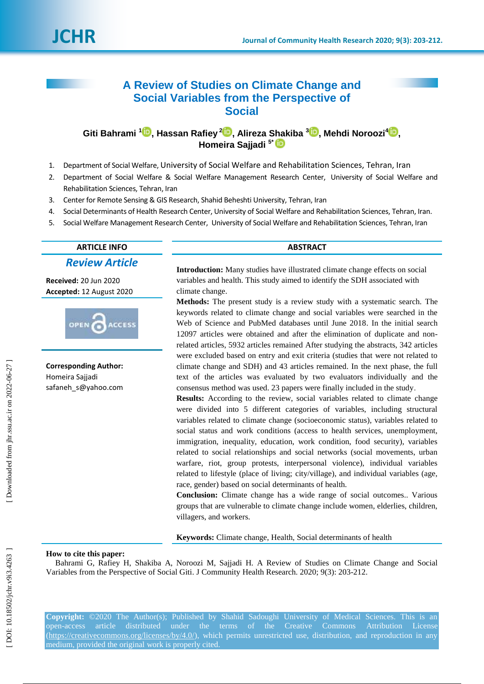# **A Review of Studies on Climate Change and Social Variables from the Perspective of Social**

**Giti Bahrami 1 , Hassan Rafiey 2 [,](https://orcid.org/0000-0003-2818-5150) Alireza Shakiba [3](https://orcid.org/0000-0001-5705-4980) , Mehdi Noroozi 4 [,](https://orcid.org/0000-0002-6511-1591) Homeira Sajjadi 5 \***

- 1 . [Department of Social Welfare,](https://www.researchgate.net/institution/University_of_Social_Welfare_and_Rehabilitation_Sciences/department/Department_of_Social_Welfare) University of Social Welfare and Rehabilitation Sciences, Tehran, Iran
- $\mathcal{L}$ . Department of Social Welfare & Social Welfare Management Research Center, University of Social Welfare and Rehabilitation Sciences, Tehran, Iran
- 3. . Center for Remote Sensing & GIS Research, Shahid Beheshti University, Tehran, Iran
- 4 . Social Determinants of Health Research Center, University of Social Welfare and Rehabilitation Sciences, Tehran, Iran.
- 5 . Social Welfare Management Research Center, University of Social Welfare and Rehabilitation Sciences, Tehran, Iran

## **ARTICLE INFO ABSTRACT**

*Review Article*

**Received:** 20 Jun 2020 **Accepted:** 12 August 2020



**Corresponding Author:** Homeira Sajjadi safaneh s@yahoo.com

**Introduction:** Many studies have illustrated climate change effects on social variables and health. This study aimed to identify the SDH associated with climate change.

**Method s :** The present study is a review study with a systematic search. The keywords related to climate change and social variables were searched in the Web of Science and PubMed databases until June 2018 . In the initial search 12097 articles were obtained and after the elimination of duplicate and non related articles, 5932 articles remained After studying the abstracts, 342 articles were excluded based on entry and exit criteria (studies that were not related to climate change and SDH) and 43 articles remained. In the next phase, the full text of the articles was evaluated by two evaluators individually and the consensus method was used. 23 papers were finally included in the study .

**Results:** According to the review, social variables related to climate change were divided into 5 different categories of variables, including structural variables related to climate change (socioeconomic status), variables related to social status and work conditions (access to health services, unemployment, immigration, inequality, education, work condition, food security), variables related to social relationships and social networks (social movements, urban warfare, riot, group protests, interpersonal violence), individual variables related to lifestyle (place of living; city/village), and individual variables (age, race, gender) based on social determinants of health.

**Conclusion:** Climate change has a wide range of social outcomes.. Various groups that are vulnerable to climate change include women, elderlies, children, villagers, and workers.

**Keyword s :** Climate change, Health, Social determinants of health

## **How to cite this paper:**

Bahrami G, Rafiey H, Shakiba A, Noroozi M, Sajjadi H . A Review of Studies on Climate Change and Social Variables from the Perspective of Social Giti. J Community Health Research. 2020; 9(3): 203-212.

**Copyright:** ©2020 The Author(s); Published by Shahid Sadoughi University of Medical Sciences. This is an open-access article distributed under the terms of the Creative Commons Attribution License [\(https://creativecommons.org/licenses/by/4.0/\)](https://creativecommons.org/licenses/by/4.0/), which permits unrestricted use, distribution, and reproduction in any medium, provided the original work is properly cited.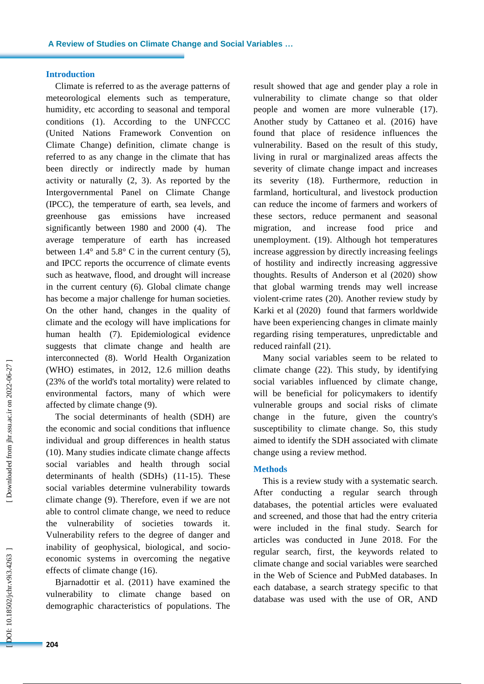## **Introduction**

Climate is referred to as the average patterns of meteorological elements such as temperature, humidity, etc according to seasonal and temporal conditions (1). According to the UNFCCC (United Nations Framework Convention on Climate Change ) definition, climate change is referred to as any change in the climate that has been directly or indirectly made by human activity or naturally (2, 3). As reported by the Intergovernmental Panel on Climate Change (IPCC), the temperature of earth, sea levels , and greenhouse gas emissions have increased significantly between 1980 and 2000 (4). The average temperature of earth has increased between  $1.4^{\circ}$  and  $5.8^{\circ}$  C in the current century (5), and IPCC reports the occurrence of climate events such as heatwave, flood , and drought will increase in the current century (6). Global climate change has become a major challenge for human societies. On the other hand, changes in the quality of climate and the ecology will have implications for human health (7). Epidemiological evidence suggests that climate change and health are interconnected (8). World Health Organization (WHO) estimates, in 2012, 12.6 million deaths (23% of the world's total mortality) were related to environmental factors, many of which were affected by climate change (9) .

The social determinants of health (SDH) are the economic and social conditions that influence individual and group differences in health status (10) . Many studies indicate climate change affects social variables and health through social determinants of health (SDHs) (11 -15). These social variables determine vulnerability towards climate change (9). Therefore, even if we are not able to control climate change, we need to reduce the vulnerability of societies towards it. Vulnerability refers to the degree of danger and inability of geophysical, biological , and socio economic systems in overcoming the negative effects of climate change (16).

Bjarnadottir et al. (2011) have examined the vulnerability to climate change based on demographic characteristics of populations. The result showed that age and gender play a role in vulnerability to climate change so that older people and women are more vulnerable (17). Another study by Cattaneo et al. (2016) have found that place of residence influences the vulnerability. Based on the result of this study, living in rural or marginalized areas affects the severity of climate change impact and increases its severity (18). Furthermore, reduction in farmland, horticultural , and livestock production can reduce the income of farmers and workers of these sectors, reduce permanent and seasonal migration, and increase food price and unemployment. (19) . Although hot temperatures increase aggression by directly increasing feelings of hostility and indirectly increasing aggressive thoughts. Results of Anderson et al (2020) show that global warming trends may well increase violent -crime rates (20). Another review study by Karki et al (2020) found that farmers worldwide have been experiencing changes in climate mainly regarding rising temperature s, unpredictable and reduced rainfall (21).

Many social variables seem to be related to climate change (22). This study, by identifying social variables influenced by climate change, will be beneficial for policymakers to identify vulnerable groups and social risks of climate change in the future, given the country's susceptibility to climate change. So, this study aimed to identify the SDH associated with climate change using a review method.

## **Method s**

This is a review study with a systematic search. After conducting a regular search through databases, the potential articles were evaluated and screened, and those that had the entry criteria were included in the final study. Search for articles was conducted in June 2018. For the regular search, first , the keywords related to climate change and social variables were searched in the Web of Science and PubMed databases. In each database, a search strategy specific to that database was used with the use of OR, AND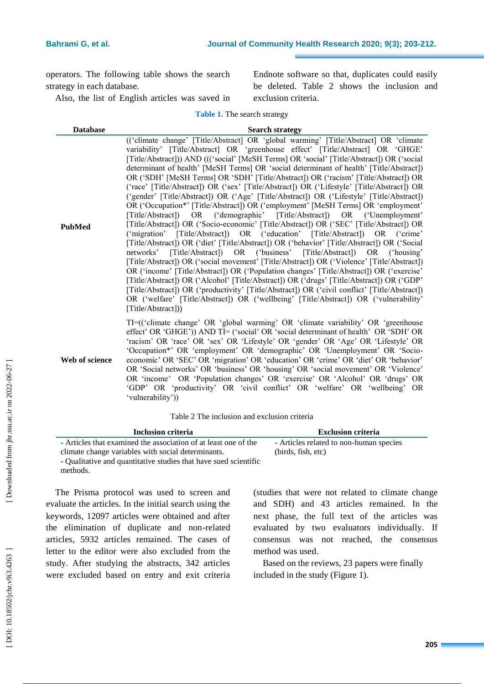operators. The following table shows the search strategy in each database.

Also, the list of English articles was saved in

Endnote software so that, duplicates could easily be deleted. Table 2 shows the inclusion and exclusion criteria.

**Table 1 .** The search strategy

| <b>Database</b> | <b>Search strategy</b>                                                                                                                                                                                                                                                                                                                                                                                                                                                                                                                                                                                                                                                                                                                                                                                                                                                                                                                                                                                                                                                                                                                                                                                                                                                                                                                                                                                                                                                                                                                                                                                                                                                               |  |  |  |  |
|-----------------|--------------------------------------------------------------------------------------------------------------------------------------------------------------------------------------------------------------------------------------------------------------------------------------------------------------------------------------------------------------------------------------------------------------------------------------------------------------------------------------------------------------------------------------------------------------------------------------------------------------------------------------------------------------------------------------------------------------------------------------------------------------------------------------------------------------------------------------------------------------------------------------------------------------------------------------------------------------------------------------------------------------------------------------------------------------------------------------------------------------------------------------------------------------------------------------------------------------------------------------------------------------------------------------------------------------------------------------------------------------------------------------------------------------------------------------------------------------------------------------------------------------------------------------------------------------------------------------------------------------------------------------------------------------------------------------|--|--|--|--|
| <b>PubMed</b>   | (('climate change' [Title/Abstract] OR 'global warming' [Title/Abstract] OR 'climate<br>variability' [Title/Abstract] OR 'greenhouse effect' [Title/Abstract] OR 'GHGE'<br>[Title/Abstract]) AND ((('social' [MeSH Terms] OR 'social' [Title/Abstract]) OR ('social'<br>determinant of health' [MeSH Terms] OR 'social determinant of health' [Title/Abstract])<br>OR ('SDH' [MeSH Terms] OR 'SDH' [Title/Abstract]) OR ('racism' [Title/Abstract]) OR<br>('race' [Title/Abstract]) OR ('sex' [Title/Abstract]) OR ('Lifestyle' [Title/Abstract]) OR<br>('gender' [Title/Abstract]) OR ('Age' [Title/Abstract]) OR ('Lifestyle' [Title/Abstract])<br>OR ('Occupation*' [Title/Abstract]) OR ('employment' [MeSH Terms] OR 'employment'<br>[Title/Abstract]) OR ('demographic' [Title/Abstract]) OR ('Unemployment'<br>[Title/Abstract]) OR ('Socio-economic' [Title/Abstract]) OR ('SEC' [Title/Abstract]) OR<br>('migration' [Title/Abstract]) OR ('education' [Title/Abstract]) OR ('crime'<br>[Title/Abstract]) OR ('diet' [Title/Abstract]) OR ('behavior' [Title/Abstract]) OR ('Social<br>[Title/Abstract]) OR ('business' [Title/Abstract]) OR ('housing'<br>networks'<br>[Title/Abstract]) OR ('social movement' [Title/Abstract]) OR ('Violence' [Title/Abstract])<br>OR ('income' [Title/Abstract]) OR ('Population changes' [Title/Abstract]) OR ('exercise'<br>[Title/Abstract]) OR ('Alcohol' [Title/Abstract]) OR ('drugs' [Title/Abstract]) OR ('GDP'<br>[Title/Abstract]) OR ('productivity' [Title/Abstract]) OR ('civil conflict' [Title/Abstract])<br>OR ('welfare' [Title/Abstract]) OR ('wellbeing' [Title/Abstract]) OR ('vulnerability'<br>[Title/Abstract])) |  |  |  |  |
| Web of science  | TI=("climate change" OR "global warming" OR "climate variability" OR "greenhouse"<br>effect' OR 'GHGE')) AND TI= ('social' OR 'social determinant of health' OR 'SDH' OR<br>'racism' OR 'race' OR 'sex' OR 'Lifestyle' OR 'gender' OR 'Age' OR 'Lifestyle' OR<br>'Occupation*' OR 'employment' OR 'demographic' OR 'Unemployment' OR 'Socio-<br>economic' OR 'SEC' OR 'migration' OR 'education' OR 'crime' OR 'diet' OR 'behavior'<br>OR 'Social networks' OR 'business' OR 'housing' OR 'social movement' OR 'Violence'<br>OR 'income' OR 'Population changes' OR 'exercise' OR 'Alcohol' OR 'drugs' OR<br>'GDP' OR 'productivity' OR 'civil conflict' OR 'welfare' OR 'wellbeing' OR                                                                                                                                                                                                                                                                                                                                                                                                                                                                                                                                                                                                                                                                                                                                                                                                                                                                                                                                                                                              |  |  |  |  |

Table 2 The inclusion and exclusion criteria

| Inclusion criteria                                               | <b>Exclusion criteria</b>               |
|------------------------------------------------------------------|-----------------------------------------|
| - Articles that examined the association of at least one of the  | - Articles related to non-human species |
| climate change variables with social determinants.               | (birds, fish, etc)                      |
| - Qualitative and quantitative studies that have sued scientific |                                         |
| methods.                                                         |                                         |

The Prisma protocol was used to screen and evaluate the articles. In the initial search using the keywords, 12097 articles were obtained and after the elimination of duplicate and non -related articles , 5932 articles remained. The cases of letter to the editor were also excluded from the study. After studying the abstracts, 342 articles were excluded based on entry and exit criteria

'vulnerability'))

(studies that were not related to climate change and SDH) and 43 articles remained. In the next phase, the full text of the articles was evaluated by two evaluators individually. If consensus was not reached, the consensus method was used.

Based on the reviews, 23 papers were finally included in the study (Figure 1).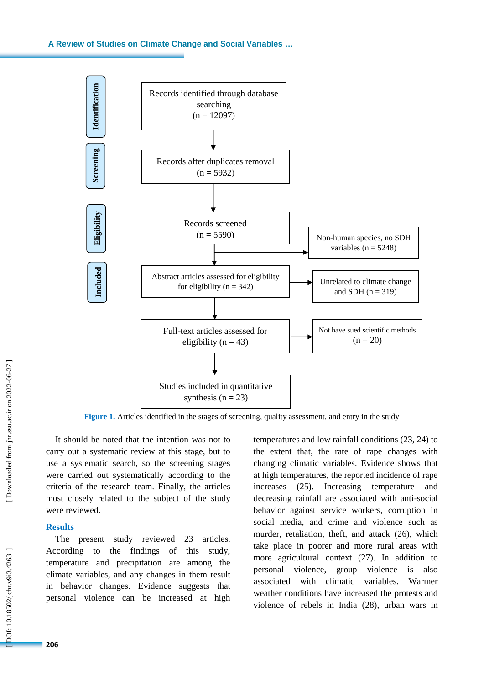## **A Review of Studies on Climate Change and Social Variables …**



**Figure 1.** Articles identified in the stages of screening, quality assessment, and entry in the study

It should be noted that the intention was not to carry out a systematic review at this stage, but to use a systematic search, so the screening stages were carried out systematically according to the criteria of the research team. Finally, the articles most closely related to the subject of the study were reviewed.

### **Results**

The present study reviewed 23 articles. According to the findings of this study, temperature and precipitation are among the climate variables, and any change s in them result in behavior changes. Evidence suggest s that personal violence can be increased at high

temperature s and low rainfall conditions (23, 24) to the extent that, the rate of rape changes with changing climatic variables. Evidence show s that at high temperatures, the reported incidence of rape increases (25) . Increasing temperature and decreasing rainfall are associated with anti -social behavior against service workers, corruption in social media, and crime and violence such as murder, retaliation, theft, and attack (26), which take place in poorer and more rural areas with more agricultural context (27). In addition to personal violence, group violence is also associated with climatic variables. Warmer weather conditions have increased the protests and violence of rebels in India (28) , urban wars in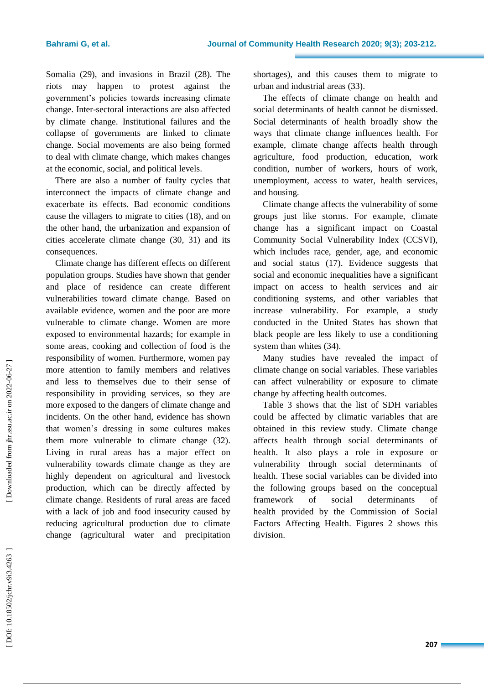Somalia (29), and invasions in Brazil (28) . The riots may happen to protest against the government's policies towards increasing climate change. Inter -sectoral interactions are also affected by climate change. Institutional failures and the collapse of governments are linked to climate change. Social movements are also being formed to deal with climate change, which make s changes at the economic, social , and political levels.

There are also a number of faulty cycles that interconnect the impacts of climate change and exacerbate its effects. Bad economic conditions cause the villagers to migrate to cities (18), and on the other hand, the urbanization and expansion of cities accelerate climate change (30, 31) and its consequences.

Climate change has different effects on different population groups. Studies have shown that gender and place of residence can create different vulnerabilities toward climate change. Based on available evidence, women and the poor are more vulnerable to climate change. Women are more exposed to environmental hazards; for example in some areas, cooking and collection of food is the responsibility of women. Furthermore, women pay more attention to family members and relatives and less to themselves due to their sense of responsibility in providing services, so they are more exposed to the dangers of climate change and incidents. On the other hand, evidence has shown that women's dressing in some cultures makes them more vulnerable to climate change (32). Living in rural areas has a major effect on vulnerability towards climate change as they are highly dependent on agricultural and livestock production, which can be directly affected by climate change. Residents of rural areas are faced with a lack of job and food insecurity caused by reducing agricultural production due to climate change (agricultural water and precipitation

shortages), and this causes them to migrate to urban and industrial areas (33) .

The effects of climate change on health and social determinants of health cannot be dismissed. Social determinants of health broadly show the ways that climate change influence s health. For example, climate change affects health through agriculture, food production, education, work condition, number of workers, hours of work, unemployment, access to water, health services, and housing.

Climate change affects the vulnerability of some groups just like storms. For example, climate change has a significant impact on Coastal Community Social Vulnerability Index (CCSVI), which includes race, gender, age, and economic and social status (17). Evidence suggests that social and economic inequalities have a significant impact on access to health services and air conditioning systems, and other variables that increase vulnerability. For example, a study conducted in the United States has shown that black people are less likely to use a conditioning system than whites (34).

Many studies have revealed the impact of climate change on social variables. These variables can affect vulnerability or exposure to climate change by affecting health outcomes.

Table 3 shows that the list of SDH variables could be affected by climatic variables that are obtained in this review study. Climate change affects health through social determinants of health. It also plays a role in exposure or vulnerability through social determinants of health. These social variables can be divided into the following groups based on the conceptual framework of social determinants health provided by the Commission of Social Factors Affecting Health. Figure s 2 shows this division.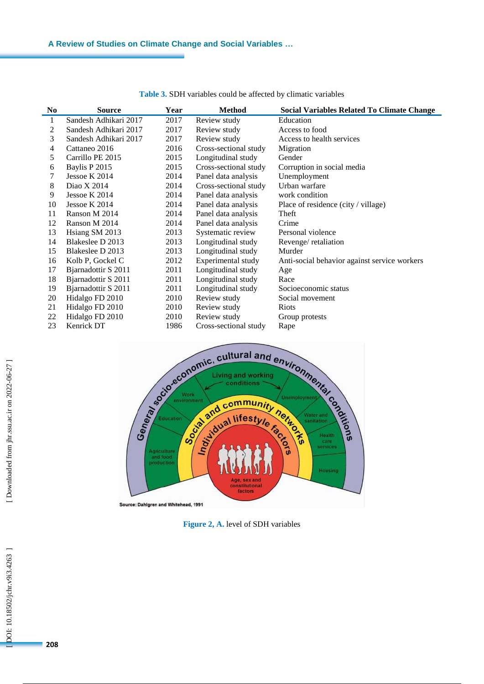| N <sub>0</sub> | <b>Source</b>         | Year | <b>Method</b>         | Social Variables Related To Climate Change   |
|----------------|-----------------------|------|-----------------------|----------------------------------------------|
| 1              | Sandesh Adhikari 2017 | 2017 | Review study          | Education                                    |
| 2              | Sandesh Adhikari 2017 | 2017 | Review study          | Access to food                               |
| 3              | Sandesh Adhikari 2017 | 2017 | Review study          | Access to health services                    |
| 4              | Cattaneo 2016         | 2016 | Cross-sectional study | Migration                                    |
| 5              | Carrillo PE 2015      | 2015 | Longitudinal study    | Gender                                       |
| 6              | Baylis P 2015         | 2015 | Cross-sectional study | Corruption in social media                   |
| 7              | Jessoe K 2014         | 2014 | Panel data analysis   | Unemployment                                 |
| 8              | Diao X 2014           | 2014 | Cross-sectional study | Urban warfare                                |
| 9              | Jessoe K 2014         | 2014 | Panel data analysis   | work condition                               |
| 10             | Jessoe K 2014         | 2014 | Panel data analysis   | Place of residence (city / village)          |
| 11             | Ranson M 2014         | 2014 | Panel data analysis   | Theft                                        |
| 12             | Ranson M 2014         | 2014 | Panel data analysis   | Crime                                        |
| 13             | Hsiang SM 2013        | 2013 | Systematic review     | Personal violence                            |
| 14             | Blakeslee D 2013      | 2013 | Longitudinal study    | Revenge/retaliation                          |
| 15             | Blakeslee D 2013      | 2013 | Longitudinal study    | Murder                                       |
| 16             | Kolb P, Gockel C      | 2012 | Experimental study    | Anti-social behavior against service workers |
| 17             | Bjarnadottir S 2011   | 2011 | Longitudinal study    | Age                                          |
| 18             | Bjarnadottir S 2011   | 2011 | Longitudinal study    | Race                                         |
| 19             | Bjarnadottir S 2011   | 2011 | Longitudinal study    | Socioeconomic status                         |
| 20             | Hidalgo FD 2010       | 2010 | Review study          | Social movement                              |
| 21             | Hidalgo FD 2010       | 2010 | Review study          | <b>Riots</b>                                 |
| 22             | Hidalgo FD 2010       | 2010 | Review study          | Group protests                               |
| 23             | Kenrick DT            | 1986 | Cross-sectional study | Rape                                         |

**Table 3.** SDH variables could be affected by climatic variables



**Figure 2, A .** level of SDH variables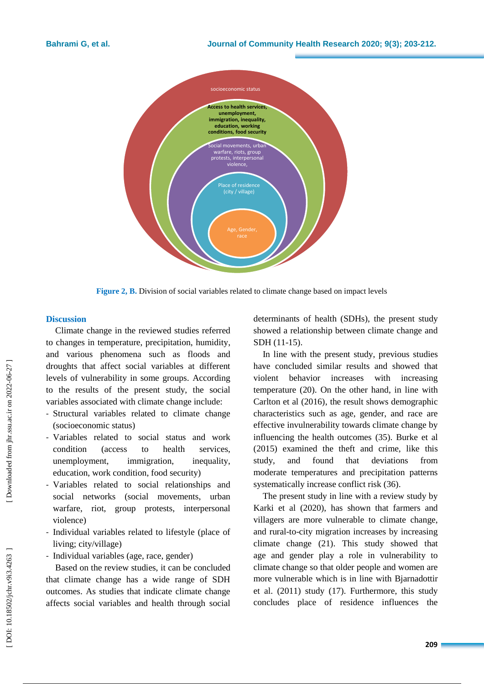

Figure 2, **B**. Division of social variables related to climate change based on impact levels

## **Discussion**

Climate change in the reviewed studies referred to changes in temperature, precipitation, humidity , and various phenomena such as floods and droughts that affect social variables at different levels of vulnerability in some groups. According to the results of the present study, the social variables associated with climate change include:

- Structural variables related to climate change (socioeconomic status)
- Variables related to social status and work condition (access to health services, unemployment, immigration, inequality, education, work condition, food security)
- Variables related to social relationships and social networks (social movements, urban warfare, riot, group protests, interpersonal violence)
- Individual variables related to lifestyle (place of living; city/village)
- Individual variables (age, race, gender)

Based on the review studies, it can be concluded that climate change has a wide range of SDH outcomes. As studies that indicate climate change affects social variables and health through social determinants of health (SDHs), the present study showed a relationship between climate change and SDH (11 -15).

In line with the present study, previous studies have concluded similar results and showed that violent behavior increases with increasing temperature (20). On the other hand, in line with Carlton et al (2016) , the result shows demographic characteristics such as age, gender, and race are effective invulnerability towards climate change by influencing the health outcomes (35). Burke et al (2015) examined the theft and crime, like this study, and found that deviations from moderate temperatures and precipitation patterns systematically increase conflict risk (36) .

The present study in line with a review study by Karki et al (2020), has shown that farmers and villagers are more vulnerable to climate change, and rural -to -city migration increases by increasing climate change (21). This study showed that age and gender play a role in vulnerability to climate change so that older people and women are more vulnerable which is in line with Bjarnadottir et al. (2011) study (17). Furthermore, this study concludes place of residence influences the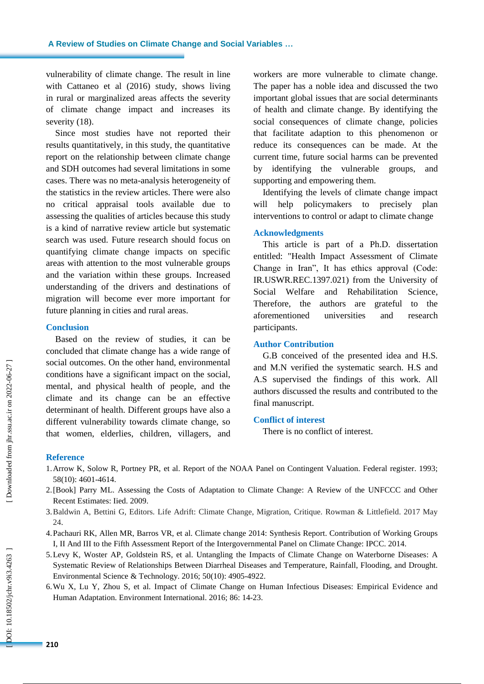vulnerability of climate change. The result in line with Cattaneo et al (2016) study, shows living in rural or marginalized areas affects the severity of climate change impact and increases its severity  $(18)$ .

Since most studies have not reported their results quantitatively, in this study, the quantitative report on the relationship between climate change and SDH outcomes had several limitations in some cases. There was no meta -analysis heterogeneity of the statistics in the review articles. There were also no critical appraisal tools available due to assessing the qualities of articles because this study is a kind of narrative review article but systematic search was used . Future research should focus on quantifying climate change impacts on specific areas with attention to the most vulnerable groups and the variation within these groups. Increased understanding of the drivers and destinations of migration will become ever more important for future planning in cities and rural areas.

## **Conclusion**

Based on the review of studies, it can be concluded that climate change has a wide range of social outcomes. On the other hand, environmental conditions have a significant impact on the social, mental , and physical health of people, and the climate and its change can be an effective determinant of health. Different groups have also a different vulnerability towards climate change, so that women, elderlies, children, villagers , and workers are more vulnerable to climate change. The paper has a noble idea and discussed the two important global issues that are social determinants of health and climate change. By identifying the social consequences of climate change, policies that facilitate adaption to this phenomenon or reduce its consequences can be made. At the current time, future social harms can be prevented by identifying the vulnerable groups, and supporting and empowering them.

Identifying the levels of climate change impact will help policymakers to precisely plan interventions to control or adapt to climate change

## **Acknowledgments**

This article is part of a Ph.D. dissertation entitled: "Health Impact Assessment of Climate Change in Iran", It has ethics approval (Code: IR.USWR.REC.1397.021) from the University of Social Welfare and Rehabilitation Science, Therefore, the authors are grateful to the aforementioned universities and research participants.

## **Author Contribution**

G.B conceived of the presented idea and H.S. and M.N verified the systematic search. H.S and A.S supervised the findings of this work. All authors discussed the results and contributed to the final manuscript.

### **Conflict of interest**

There is no conflict of interest.

## **Reference**

- 1.Arrow K, Solow R, Portney PR, et al. Report of the NOAA Panel on Contingent Valuation. Federal register. 1993; 58(10): 4601 -4614.
- 2. [Book] Parry ML. Assessing the Costs of Adaptation to Climate Change: A Review of the UNFCCC and Other Recent Estimates: Iied. 2009.
- 3.Baldwin A, Bettini G, Editors. Life Adrift: Climate Change, Migration, Critique. Rowman & Littlefield. 2017 May 24 .
- 4.Pachauri RK, Allen MR, Barros VR, et al. Climate change 2014: Synthesis Report. Contribution of Working Groups I, II And III to the Fifth Assessment Report of the Intergovernmental Panel on Climate Change: IPCC. 2014.
- 5. Levy K, Woster AP, Goldstein RS, et al. Untangling the Impacts of Climate Change on Waterborne Diseases: A Systematic Review of Relationships Between Diarrheal Diseases and Temperature, Rainfall, Flooding, and Drought. Environmental Science & Technology. 2016; 50(10): 4905 -4922.
- 6. Wu X, Lu Y, Zhou S, et al. Impact of Climate Change on Human Infectious Diseases: Empirical Evidence and Human Adaptation. Environment International. 2016; 86: 14 -23.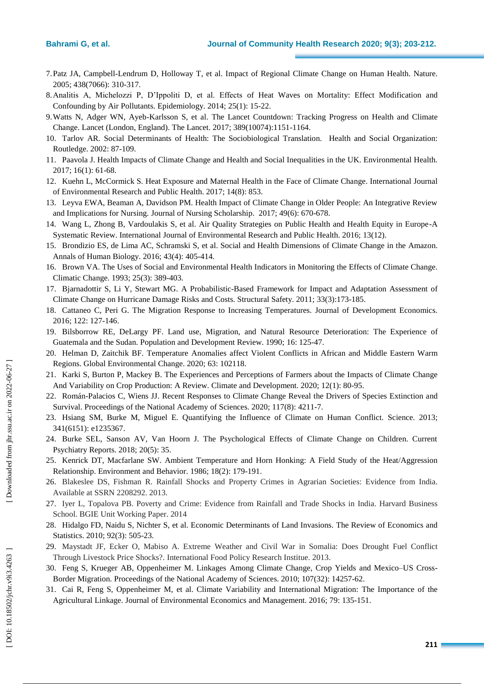- 7.Patz JA, Campbell -Lendrum D, Holloway T, et al. Impact of Regional Climate Change on Human Health. Nature. 2005; 438(7066): 310 -317 .
- 8.Analitis A, Michelozzi P, D'Ippoliti D, et al. Effects of Heat Waves on Mortality: Effect Modification and Confounding by Air Pollutants. Epidemiology. 2014; 25(1): 15 -22.
- 9.Watts N, Adger WN, Ayeb -Karlsson S, et al. The Lancet Countdown: Tracking Progress on Health and Climate Change. Lancet (London, England). The Lancet. 2017; 389(10074):1151 -1164.
- 10. Tarlov AR. Social Determinants of Health: The Sociobiological Translation. Health and Social Organization: Routledge . 2002: 87 -109.
- 11. Paavola J. Health Impacts of Climate Change and Health and Social Inequalities in the UK. Environmental Health. 2017; 16(1) : 61 - 68.
- 12. Kuehn L, McCormick S. Heat Exposure and Maternal Health in the Face of Climate Change. International Journal of Environmental Research and Public Health. 2017; 14(8): 853 .
- 13. Leyva EWA, Beaman A, Davidson PM. Health Impact of Climate Change in Older People: An Integrative Review and Implications for Nursing. Journal of Nursing Scholarship. 2017; 49(6): 670 -678.
- 14. Wang L, Zhong B, Vardoulakis S, et al. Air Quality Strategies on Public Health and Health Equity in Europe -A Systematic Review. International Journal of Environmental Research and Public Health. 2016; 13(12).
- 15. Brondizio ES, de Lima AC, Schramski S, et al. Social and Health Dimensions of Climate Change in the Amazon. Annals of Human Biology. 2016; 43(4): 405 - 414.
- 16. Brown VA. The Uses of Social and Environmental Health Indicators in Monitoring the Effects of Climate Change. Climatic Change. 1993; 25(3): 389 -403.
- 17. Bjarnadottir S, Li Y, Stewart MG. A Probabilistic -Based Framework for Impact and Adaptation Assessment of Climate Change on Hurricane Damage Risks and Costs. Structural Safety. 2011; 33(3):173-185.
- 18. Cattaneo C, Peri G. The Migration Response to Increasing Temperatures. Journal of Development Economics. 2016; 122: 127 - 146.
- 19. Bilsborrow RE, DeLargy PF. Land use, Migration, and Natural Resource Deterioration: The Experience of Guatemala and the Sudan. Population and Development Review. 1990; 16: 125 -47.
- 20. Helman D, Zaitchik BF. Temperature Anomalies affect Violent Conflicts in African and Middle Eastern Warm Regions. Global Environmental Change. 2020; 63: 102118.
- 21. Karki S, Burton P, Mackey B. The Experiences and Perceptions of Farmers about the Impacts of Climate Change And Variability on Crop Production: A Review. Climate and Development. 2020; 12(1): 80 -95.
- 22. Román-Palacios C, Wiens JJ. Recent Responses to Climate Change Reveal the Drivers of Species Extinction and Survival. Proceedings of the National Academy of Sciences. 2020; 117(8): 4211-7.
- 23. Hsiang SM, Burke M, Miguel E. Quantifying the Influence of Climate on Human Conflict. Science. 2013; 341(6151): e1235367.
- 24. Burke SEL, Sanson AV, Van Hoorn J. The Psychological Effects of Climate Change on Children. Current Psychiatry Reports. 2018; 20(5): 35 .
- 25. Kenrick DT, Macfarlane SW. Ambient Temperature and Horn Honking: A Field Study of the Heat/Aggression Relationship. Environment and Behavior. 1986; 18(2): 179 - 191.
- 26. Blakeslee DS, Fishman R. Rainfall Shocks and Property Crimes in Agrarian Societies: Evidence from India. Available at SSRN 2208292. 2013.
- 27. Iyer L, Topalova PB. Poverty and Crime: Evidence from Rainfall and Trade Shocks in India. Harvard Business School. BGIE Unit Working Paper. 2014
- 28. Hidalgo FD, Naidu S, Nichter S, et al. Economic Determinants of Land Invasions. The Review of Economics and Statistics. 2010; 92(3): 505 -23.
- 29. Maystadt JF, Ecker O, Mabiso A. Extreme Weather and Civil War in Somalia: Does Drought Fuel Conflict Through Livestock Price Shocks?. International Food Policy Research Institue. 2013 .
- 30. Feng S, Krueger AB, Oppenheimer M. Linkages Among Climate Change, Crop Yields and Mexico –US Cross Border Migration. Proceedings of the National Academy of Sciences. 2010; 107(32): 14257-62.
- 31. Cai R, Feng S, Oppenheimer M, et al. Climate Variability and International Migration: The Importance of the Agricultural Linkage. Journal of Environmental Economics and Management. 2016; 79: 135-151.